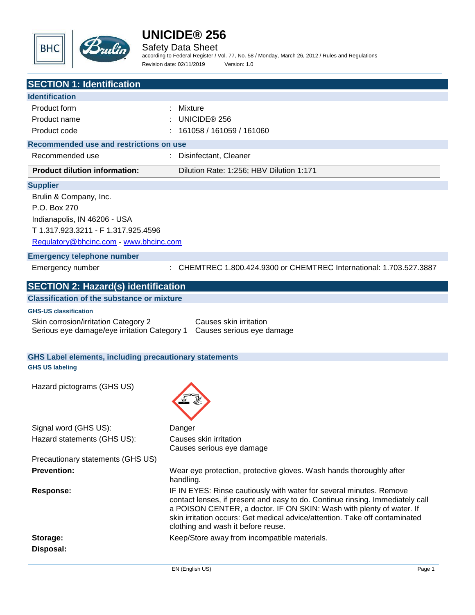

Safety Data Sheet

according to Federal Register / Vol. 77, No. 58 / Monday, March 26, 2012 / Rules and Regulations Revision date: 02/11/2019 Version: 1.0

| <b>SECTION 1: Identification</b>                                                        |                                                                                                                                                                                                                                                                                                                                                   |
|-----------------------------------------------------------------------------------------|---------------------------------------------------------------------------------------------------------------------------------------------------------------------------------------------------------------------------------------------------------------------------------------------------------------------------------------------------|
| <b>Identification</b>                                                                   |                                                                                                                                                                                                                                                                                                                                                   |
| Product form                                                                            | Mixture                                                                                                                                                                                                                                                                                                                                           |
| Product name                                                                            | UNICIDE <sup>®</sup> 256                                                                                                                                                                                                                                                                                                                          |
| Product code                                                                            | 161058 / 161059 / 161060                                                                                                                                                                                                                                                                                                                          |
| Recommended use and restrictions on use                                                 |                                                                                                                                                                                                                                                                                                                                                   |
| Recommended use                                                                         | Disinfectant, Cleaner                                                                                                                                                                                                                                                                                                                             |
| <b>Product dilution information:</b>                                                    | Dilution Rate: 1:256; HBV Dilution 1:171                                                                                                                                                                                                                                                                                                          |
| <b>Supplier</b>                                                                         |                                                                                                                                                                                                                                                                                                                                                   |
| Brulin & Company, Inc.                                                                  |                                                                                                                                                                                                                                                                                                                                                   |
| P.O. Box 270                                                                            |                                                                                                                                                                                                                                                                                                                                                   |
| Indianapolis, IN 46206 - USA                                                            |                                                                                                                                                                                                                                                                                                                                                   |
| T 1.317.923.3211 - F 1.317.925.4596                                                     |                                                                                                                                                                                                                                                                                                                                                   |
| Regulatory@bhcinc.com - www.bhcinc.com                                                  |                                                                                                                                                                                                                                                                                                                                                   |
| <b>Emergency telephone number</b>                                                       |                                                                                                                                                                                                                                                                                                                                                   |
| Emergency number                                                                        | : CHEMTREC 1.800.424.9300 or CHEMTREC International: 1.703.527.3887                                                                                                                                                                                                                                                                               |
| <b>SECTION 2: Hazard(s) identification</b>                                              |                                                                                                                                                                                                                                                                                                                                                   |
| <b>Classification of the substance or mixture</b>                                       |                                                                                                                                                                                                                                                                                                                                                   |
| <b>GHS-US classification</b>                                                            |                                                                                                                                                                                                                                                                                                                                                   |
| Skin corrosion/irritation Category 2<br>Serious eye damage/eye irritation Category 1    | Causes skin irritation<br>Causes serious eye damage                                                                                                                                                                                                                                                                                               |
| <b>GHS Label elements, including precautionary statements</b><br><b>GHS US labeling</b> |                                                                                                                                                                                                                                                                                                                                                   |
| Hazard pictograms (GHS US)                                                              |                                                                                                                                                                                                                                                                                                                                                   |
| Signal word (GHS US):                                                                   | Danger                                                                                                                                                                                                                                                                                                                                            |
| Hazard statements (GHS US):                                                             | Causes skin irritation<br>Causes serious eye damage                                                                                                                                                                                                                                                                                               |
| Precautionary statements (GHS US)                                                       |                                                                                                                                                                                                                                                                                                                                                   |
| <b>Prevention:</b>                                                                      | Wear eye protection, protective gloves. Wash hands thoroughly after<br>handling.                                                                                                                                                                                                                                                                  |
| <b>Response:</b>                                                                        | IF IN EYES: Rinse cautiously with water for several minutes. Remove<br>contact lenses, if present and easy to do. Continue rinsing. Immediately call<br>a POISON CENTER, a doctor. IF ON SKIN: Wash with plenty of water. If<br>skin irritation occurs: Get medical advice/attention. Take off contaminated<br>clothing and wash it before reuse. |
| Storage:                                                                                | Keep/Store away from incompatible materials.                                                                                                                                                                                                                                                                                                      |
| Disposal:                                                                               |                                                                                                                                                                                                                                                                                                                                                   |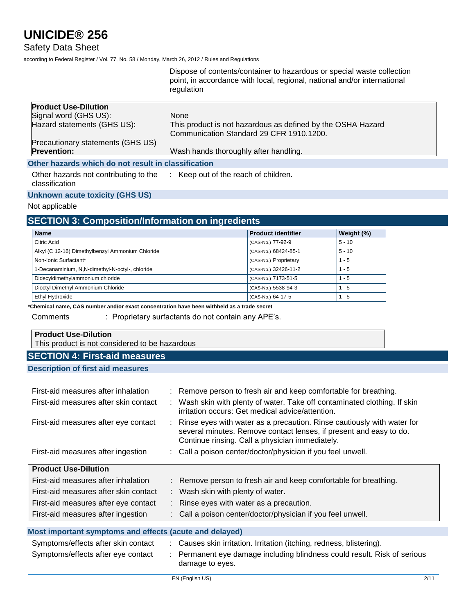### Safety Data Sheet

according to Federal Register / Vol. 77, No. 58 / Monday, March 26, 2012 / Rules and Regulations

|                                                         | Dispose of contents/container to hazardous or special waste collection<br>point, in accordance with local, regional, national and/or international<br>regulation |
|---------------------------------------------------------|------------------------------------------------------------------------------------------------------------------------------------------------------------------|
| <b>Product Use-Dilution</b>                             |                                                                                                                                                                  |
| Signal word (GHS US):                                   | <b>None</b>                                                                                                                                                      |
| Hazard statements (GHS US):                             | This product is not hazardous as defined by the OSHA Hazard                                                                                                      |
|                                                         | Communication Standard 29 CFR 1910.1200.                                                                                                                         |
| Precautionary statements (GHS US)                       |                                                                                                                                                                  |
| <b>Prevention:</b>                                      | Wash hands thoroughly after handling.                                                                                                                            |
| Other hazards which do not result in classification     |                                                                                                                                                                  |
| Other hazards not contributing to the<br>classification | : Keep out of the reach of children.                                                                                                                             |

#### **Unknown acute toxicity (GHS US)**

#### Not applicable

# **SECTION 3: Composition/Information on ingredients**

| <b>Name</b>                                      | <b>Product identifier</b> | Weight (%) |
|--------------------------------------------------|---------------------------|------------|
| Citric Acid                                      | (CAS-No.) 77-92-9         | $5 - 10$   |
| Alkyl (C 12-16) Dimethylbenzyl Ammonium Chloride | (CAS-No.) 68424-85-1      | $5 - 10$   |
| Non-Ionic Surfactant*                            | (CAS-No.) Proprietary     | $1 - 5$    |
| 1-Decanaminium, N,N-dimethyl-N-octyl-, chloride  | (CAS-No.) 32426-11-2      | $1 - 5$    |
| Didecyldimethylammonium chloride                 | (CAS-No.) 7173-51-5       | $1 - 5$    |
| Dioctyl Dimethyl Ammonium Chloride               | (CAS-No.) 5538-94-3       | $1 - 5$    |
| Ethyl Hydroxide                                  | (CAS-No.) 64-17-5         | $1 - 5$    |

**\*Chemical name, CAS number and/or exact concentration have been withheld as a trade secret**

Comments : Proprietary surfactants do not contain any APE's.

## **Product Use-Dilution**

This product is not considered to be hazardous

# **SECTION 4: First-aid measures**

**Description of first aid measures**

| First-aid measures after inhalation   | : Remove person to fresh air and keep comfortable for breathing.                                                                                                                                  |
|---------------------------------------|---------------------------------------------------------------------------------------------------------------------------------------------------------------------------------------------------|
| First-aid measures after skin contact | : Wash skin with plenty of water. Take off contaminated clothing. If skin<br>irritation occurs: Get medical advice/attention.                                                                     |
| First-aid measures after eye contact  | : Rinse eyes with water as a precaution. Rinse cautiously with water for<br>several minutes. Remove contact lenses, if present and easy to do.<br>Continue rinsing. Call a physician immediately. |
| First-aid measures after ingestion    | : Call a poison center/doctor/physician if you feel unwell.                                                                                                                                       |
|                                       |                                                                                                                                                                                                   |
| <b>Product Use-Dilution</b>           |                                                                                                                                                                                                   |
| First-aid measures after inhalation   | : Remove person to fresh air and keep comfortable for breathing.                                                                                                                                  |
| First-aid measures after skin contact | : Wash skin with plenty of water.                                                                                                                                                                 |
| First-aid measures after eye contact  | : Rinse eyes with water as a precaution.                                                                                                                                                          |
| First-aid measures after ingestion    | : Call a poison center/doctor/physician if you feel unwell.                                                                                                                                       |

#### **Most important symptoms and effects (acute and delayed)**

| Symptoms/effects after skin contact | Causes skin irritation. Irritation (itching, redness, blistering).                          |
|-------------------------------------|---------------------------------------------------------------------------------------------|
| Symptoms/effects after eye contact  | : Permanent eye damage including blindness could result. Risk of serious<br>damage to eyes. |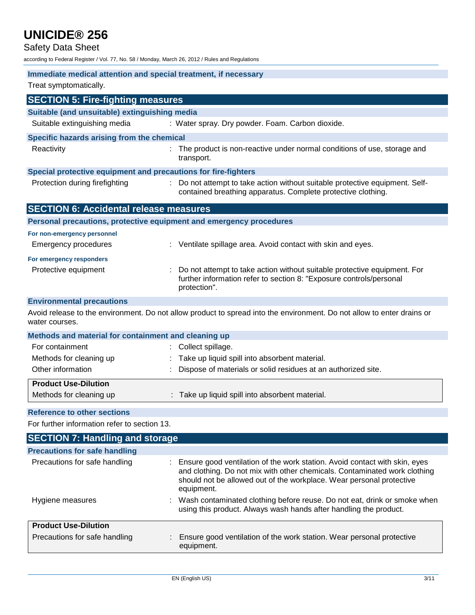Safety Data Sheet

according to Federal Register / Vol. 77, No. 58 / Monday, March 26, 2012 / Rules and Regulations

| Treat symptomatically.<br><b>SECTION 5: Fire-fighting measures</b><br>Suitable (and unsuitable) extinguishing media<br>Suitable extinguishing media<br>: Water spray. Dry powder. Foam. Carbon dioxide.<br>Specific hazards arising from the chemical<br>Reactivity<br>The product is non-reactive under normal conditions of use, storage and<br>transport.<br>Special protective equipment and precautions for fire-fighters<br>Protection during firefighting<br>Do not attempt to take action without suitable protective equipment. Self-<br>contained breathing apparatus. Complete protective clothing.<br><b>SECTION 6: Accidental release measures</b><br>Personal precautions, protective equipment and emergency procedures<br>For non-emergency personnel<br><b>Emergency procedures</b><br>Ventilate spillage area. Avoid contact with skin and eyes.<br>For emergency responders<br>Do not attempt to take action without suitable protective equipment. For<br>Protective equipment<br>further information refer to section 8: "Exposure controls/personal<br>protection".<br><b>Environmental precautions</b><br>Avoid release to the environment. Do not allow product to spread into the environment. Do not allow to enter drains or<br>water courses.<br>Methods and material for containment and cleaning up<br>For containment<br>Collect spillage.<br>Methods for cleaning up<br>Take up liquid spill into absorbent material.<br>Other information<br>Dispose of materials or solid residues at an authorized site.<br><b>Product Use-Dilution</b><br>: Take up liquid spill into absorbent material.<br>Methods for cleaning up<br><b>Reference to other sections</b><br>For further information refer to section 13.<br><b>SECTION 7: Handling and storage</b> |
|------------------------------------------------------------------------------------------------------------------------------------------------------------------------------------------------------------------------------------------------------------------------------------------------------------------------------------------------------------------------------------------------------------------------------------------------------------------------------------------------------------------------------------------------------------------------------------------------------------------------------------------------------------------------------------------------------------------------------------------------------------------------------------------------------------------------------------------------------------------------------------------------------------------------------------------------------------------------------------------------------------------------------------------------------------------------------------------------------------------------------------------------------------------------------------------------------------------------------------------------------------------------------------------------------------------------------------------------------------------------------------------------------------------------------------------------------------------------------------------------------------------------------------------------------------------------------------------------------------------------------------------------------------------------------------------------------------------------------------------------------------------------------------------|
|                                                                                                                                                                                                                                                                                                                                                                                                                                                                                                                                                                                                                                                                                                                                                                                                                                                                                                                                                                                                                                                                                                                                                                                                                                                                                                                                                                                                                                                                                                                                                                                                                                                                                                                                                                                          |
|                                                                                                                                                                                                                                                                                                                                                                                                                                                                                                                                                                                                                                                                                                                                                                                                                                                                                                                                                                                                                                                                                                                                                                                                                                                                                                                                                                                                                                                                                                                                                                                                                                                                                                                                                                                          |
|                                                                                                                                                                                                                                                                                                                                                                                                                                                                                                                                                                                                                                                                                                                                                                                                                                                                                                                                                                                                                                                                                                                                                                                                                                                                                                                                                                                                                                                                                                                                                                                                                                                                                                                                                                                          |
|                                                                                                                                                                                                                                                                                                                                                                                                                                                                                                                                                                                                                                                                                                                                                                                                                                                                                                                                                                                                                                                                                                                                                                                                                                                                                                                                                                                                                                                                                                                                                                                                                                                                                                                                                                                          |
|                                                                                                                                                                                                                                                                                                                                                                                                                                                                                                                                                                                                                                                                                                                                                                                                                                                                                                                                                                                                                                                                                                                                                                                                                                                                                                                                                                                                                                                                                                                                                                                                                                                                                                                                                                                          |
|                                                                                                                                                                                                                                                                                                                                                                                                                                                                                                                                                                                                                                                                                                                                                                                                                                                                                                                                                                                                                                                                                                                                                                                                                                                                                                                                                                                                                                                                                                                                                                                                                                                                                                                                                                                          |
|                                                                                                                                                                                                                                                                                                                                                                                                                                                                                                                                                                                                                                                                                                                                                                                                                                                                                                                                                                                                                                                                                                                                                                                                                                                                                                                                                                                                                                                                                                                                                                                                                                                                                                                                                                                          |
|                                                                                                                                                                                                                                                                                                                                                                                                                                                                                                                                                                                                                                                                                                                                                                                                                                                                                                                                                                                                                                                                                                                                                                                                                                                                                                                                                                                                                                                                                                                                                                                                                                                                                                                                                                                          |
|                                                                                                                                                                                                                                                                                                                                                                                                                                                                                                                                                                                                                                                                                                                                                                                                                                                                                                                                                                                                                                                                                                                                                                                                                                                                                                                                                                                                                                                                                                                                                                                                                                                                                                                                                                                          |
|                                                                                                                                                                                                                                                                                                                                                                                                                                                                                                                                                                                                                                                                                                                                                                                                                                                                                                                                                                                                                                                                                                                                                                                                                                                                                                                                                                                                                                                                                                                                                                                                                                                                                                                                                                                          |
|                                                                                                                                                                                                                                                                                                                                                                                                                                                                                                                                                                                                                                                                                                                                                                                                                                                                                                                                                                                                                                                                                                                                                                                                                                                                                                                                                                                                                                                                                                                                                                                                                                                                                                                                                                                          |
|                                                                                                                                                                                                                                                                                                                                                                                                                                                                                                                                                                                                                                                                                                                                                                                                                                                                                                                                                                                                                                                                                                                                                                                                                                                                                                                                                                                                                                                                                                                                                                                                                                                                                                                                                                                          |
|                                                                                                                                                                                                                                                                                                                                                                                                                                                                                                                                                                                                                                                                                                                                                                                                                                                                                                                                                                                                                                                                                                                                                                                                                                                                                                                                                                                                                                                                                                                                                                                                                                                                                                                                                                                          |
|                                                                                                                                                                                                                                                                                                                                                                                                                                                                                                                                                                                                                                                                                                                                                                                                                                                                                                                                                                                                                                                                                                                                                                                                                                                                                                                                                                                                                                                                                                                                                                                                                                                                                                                                                                                          |
|                                                                                                                                                                                                                                                                                                                                                                                                                                                                                                                                                                                                                                                                                                                                                                                                                                                                                                                                                                                                                                                                                                                                                                                                                                                                                                                                                                                                                                                                                                                                                                                                                                                                                                                                                                                          |
|                                                                                                                                                                                                                                                                                                                                                                                                                                                                                                                                                                                                                                                                                                                                                                                                                                                                                                                                                                                                                                                                                                                                                                                                                                                                                                                                                                                                                                                                                                                                                                                                                                                                                                                                                                                          |
|                                                                                                                                                                                                                                                                                                                                                                                                                                                                                                                                                                                                                                                                                                                                                                                                                                                                                                                                                                                                                                                                                                                                                                                                                                                                                                                                                                                                                                                                                                                                                                                                                                                                                                                                                                                          |
|                                                                                                                                                                                                                                                                                                                                                                                                                                                                                                                                                                                                                                                                                                                                                                                                                                                                                                                                                                                                                                                                                                                                                                                                                                                                                                                                                                                                                                                                                                                                                                                                                                                                                                                                                                                          |
|                                                                                                                                                                                                                                                                                                                                                                                                                                                                                                                                                                                                                                                                                                                                                                                                                                                                                                                                                                                                                                                                                                                                                                                                                                                                                                                                                                                                                                                                                                                                                                                                                                                                                                                                                                                          |
|                                                                                                                                                                                                                                                                                                                                                                                                                                                                                                                                                                                                                                                                                                                                                                                                                                                                                                                                                                                                                                                                                                                                                                                                                                                                                                                                                                                                                                                                                                                                                                                                                                                                                                                                                                                          |
|                                                                                                                                                                                                                                                                                                                                                                                                                                                                                                                                                                                                                                                                                                                                                                                                                                                                                                                                                                                                                                                                                                                                                                                                                                                                                                                                                                                                                                                                                                                                                                                                                                                                                                                                                                                          |
|                                                                                                                                                                                                                                                                                                                                                                                                                                                                                                                                                                                                                                                                                                                                                                                                                                                                                                                                                                                                                                                                                                                                                                                                                                                                                                                                                                                                                                                                                                                                                                                                                                                                                                                                                                                          |
|                                                                                                                                                                                                                                                                                                                                                                                                                                                                                                                                                                                                                                                                                                                                                                                                                                                                                                                                                                                                                                                                                                                                                                                                                                                                                                                                                                                                                                                                                                                                                                                                                                                                                                                                                                                          |
|                                                                                                                                                                                                                                                                                                                                                                                                                                                                                                                                                                                                                                                                                                                                                                                                                                                                                                                                                                                                                                                                                                                                                                                                                                                                                                                                                                                                                                                                                                                                                                                                                                                                                                                                                                                          |
|                                                                                                                                                                                                                                                                                                                                                                                                                                                                                                                                                                                                                                                                                                                                                                                                                                                                                                                                                                                                                                                                                                                                                                                                                                                                                                                                                                                                                                                                                                                                                                                                                                                                                                                                                                                          |
| <b>Precautions for safe handling</b>                                                                                                                                                                                                                                                                                                                                                                                                                                                                                                                                                                                                                                                                                                                                                                                                                                                                                                                                                                                                                                                                                                                                                                                                                                                                                                                                                                                                                                                                                                                                                                                                                                                                                                                                                     |
| Precautions for safe handling<br>Ensure good ventilation of the work station. Avoid contact with skin, eyes                                                                                                                                                                                                                                                                                                                                                                                                                                                                                                                                                                                                                                                                                                                                                                                                                                                                                                                                                                                                                                                                                                                                                                                                                                                                                                                                                                                                                                                                                                                                                                                                                                                                              |
| and clothing. Do not mix with other chemicals. Contaminated work clothing<br>should not be allowed out of the workplace. Wear personal protective<br>equipment.                                                                                                                                                                                                                                                                                                                                                                                                                                                                                                                                                                                                                                                                                                                                                                                                                                                                                                                                                                                                                                                                                                                                                                                                                                                                                                                                                                                                                                                                                                                                                                                                                          |
| Wash contaminated clothing before reuse. Do not eat, drink or smoke when<br>Hygiene measures<br>using this product. Always wash hands after handling the product.                                                                                                                                                                                                                                                                                                                                                                                                                                                                                                                                                                                                                                                                                                                                                                                                                                                                                                                                                                                                                                                                                                                                                                                                                                                                                                                                                                                                                                                                                                                                                                                                                        |
| <b>Product Use-Dilution</b>                                                                                                                                                                                                                                                                                                                                                                                                                                                                                                                                                                                                                                                                                                                                                                                                                                                                                                                                                                                                                                                                                                                                                                                                                                                                                                                                                                                                                                                                                                                                                                                                                                                                                                                                                              |
| Precautions for safe handling<br>Ensure good ventilation of the work station. Wear personal protective<br>equipment.                                                                                                                                                                                                                                                                                                                                                                                                                                                                                                                                                                                                                                                                                                                                                                                                                                                                                                                                                                                                                                                                                                                                                                                                                                                                                                                                                                                                                                                                                                                                                                                                                                                                     |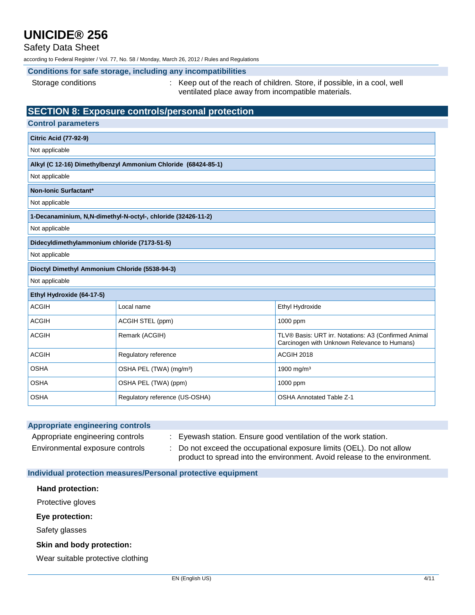### Safety Data Sheet

according to Federal Register / Vol. 77, No. 58 / Monday, March 26, 2012 / Rules and Regulations

#### **Conditions for safe storage, including any incompatibilities**

Storage conditions : Keep out of the reach of children. Store, if possible, in a cool, well ventilated place away from incompatible materials.

### **SECTION 8: Exposure controls/personal protection**

| <b>Control parameters</b>                                     |                                     |                                                                                                      |  |  |  |  |  |  |
|---------------------------------------------------------------|-------------------------------------|------------------------------------------------------------------------------------------------------|--|--|--|--|--|--|
| <b>Citric Acid (77-92-9)</b>                                  |                                     |                                                                                                      |  |  |  |  |  |  |
| Not applicable                                                |                                     |                                                                                                      |  |  |  |  |  |  |
| Alkyl (C 12-16) Dimethylbenzyl Ammonium Chloride (68424-85-1) |                                     |                                                                                                      |  |  |  |  |  |  |
| Not applicable                                                |                                     |                                                                                                      |  |  |  |  |  |  |
| Non-Ionic Surfactant*                                         |                                     |                                                                                                      |  |  |  |  |  |  |
| Not applicable                                                |                                     |                                                                                                      |  |  |  |  |  |  |
| 1-Decanaminium, N,N-dimethyl-N-octyl-, chloride (32426-11-2)  |                                     |                                                                                                      |  |  |  |  |  |  |
| Not applicable                                                |                                     |                                                                                                      |  |  |  |  |  |  |
| Didecyldimethylammonium chloride (7173-51-5)                  |                                     |                                                                                                      |  |  |  |  |  |  |
| Not applicable                                                |                                     |                                                                                                      |  |  |  |  |  |  |
| Dioctyl Dimethyl Ammonium Chloride (5538-94-3)                |                                     |                                                                                                      |  |  |  |  |  |  |
| Not applicable                                                |                                     |                                                                                                      |  |  |  |  |  |  |
| Ethyl Hydroxide (64-17-5)                                     |                                     |                                                                                                      |  |  |  |  |  |  |
| <b>ACGIH</b>                                                  | Local name                          | Ethyl Hydroxide                                                                                      |  |  |  |  |  |  |
| <b>ACGIH</b>                                                  | ACGIH STEL (ppm)                    | 1000 ppm                                                                                             |  |  |  |  |  |  |
| <b>ACGIH</b>                                                  | Remark (ACGIH)                      | TLV® Basis: URT irr. Notations: A3 (Confirmed Animal<br>Carcinogen with Unknown Relevance to Humans) |  |  |  |  |  |  |
| <b>ACGIH</b>                                                  | Regulatory reference                | ACGIH 2018                                                                                           |  |  |  |  |  |  |
| <b>OSHA</b>                                                   | OSHA PEL (TWA) (mg/m <sup>3</sup> ) | 1900 mg/m <sup>3</sup>                                                                               |  |  |  |  |  |  |
| <b>OSHA</b>                                                   | OSHA PEL (TWA) (ppm)                | 1000 ppm                                                                                             |  |  |  |  |  |  |
| <b>OSHA</b>                                                   | Regulatory reference (US-OSHA)      | <b>OSHA Annotated Table Z-1</b>                                                                      |  |  |  |  |  |  |

| <b>Appropriate engineering controls</b> |                                                                                                                                                 |
|-----------------------------------------|-------------------------------------------------------------------------------------------------------------------------------------------------|
| Appropriate engineering controls        | Eyewash station. Ensure good ventilation of the work station.                                                                                   |
| Environmental exposure controls         | Do not exceed the occupational exposure limits (OEL). Do not allow<br>product to spread into the environment. Avoid release to the environment. |

**Individual protection measures/Personal protective equipment**

#### **Hand protection:**

Protective gloves

#### **Eye protection:**

Safety glasses

#### **Skin and body protection:**

Wear suitable protective clothing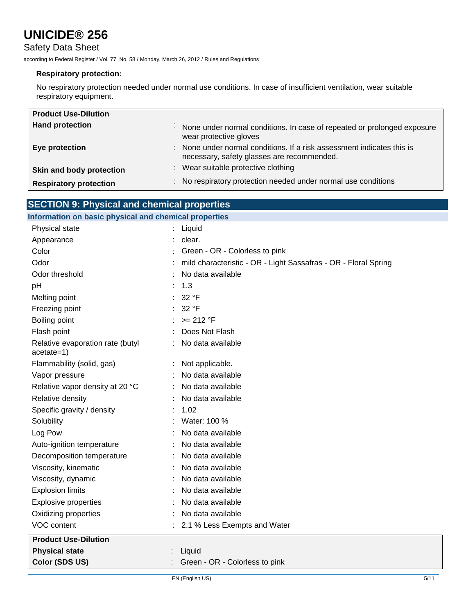### Safety Data Sheet

according to Federal Register / Vol. 77, No. 58 / Monday, March 26, 2012 / Rules and Regulations

#### **Respiratory protection:**

No respiratory protection needed under normal use conditions. In case of insufficient ventilation, wear suitable respiratory equipment.

| <b>Product Use-Dilution</b>   |                                                                                                                      |
|-------------------------------|----------------------------------------------------------------------------------------------------------------------|
| <b>Hand protection</b>        | None under normal conditions. In case of repeated or prolonged exposure<br>$\sim$<br>wear protective gloves          |
| Eye protection                | : None under normal conditions. If a risk assessment indicates this is<br>necessary, safety glasses are recommended. |
| Skin and body protection      | : Wear suitable protective clothing                                                                                  |
| <b>Respiratory protection</b> | : No respiratory protection needed under normal use conditions                                                       |

## **SECTION 9: Physical and chemical properties**

#### **Information on basic physical and chemical properties**

| Physical state                                   | Liquid                                                          |
|--------------------------------------------------|-----------------------------------------------------------------|
| Appearance                                       | clear.                                                          |
| Color                                            | Green - OR - Colorless to pink                                  |
| Odor                                             | mild characteristic - OR - Light Sassafras - OR - Floral Spring |
| Odor threshold                                   | No data available                                               |
| pH                                               | 1.3                                                             |
| Melting point                                    | 32 °F                                                           |
| Freezing point                                   | 32 °F                                                           |
| Boiling point                                    | $>= 212 °F$                                                     |
| Flash point                                      | Does Not Flash                                                  |
| Relative evaporation rate (butyl<br>$acetate=1)$ | No data available                                               |
| Flammability (solid, gas)                        | Not applicable.                                                 |
| Vapor pressure                                   | No data available                                               |
| Relative vapor density at 20 °C                  | No data available                                               |
| Relative density                                 | No data available                                               |
| Specific gravity / density                       | 1.02                                                            |
| Solubility                                       | Water: 100 %                                                    |
| Log Pow                                          | No data available                                               |
| Auto-ignition temperature                        | No data available                                               |
| Decomposition temperature                        | No data available                                               |
| Viscosity, kinematic                             | No data available                                               |
| Viscosity, dynamic                               | No data available                                               |
| <b>Explosion limits</b>                          | No data available                                               |
| <b>Explosive properties</b>                      | No data available                                               |
| Oxidizing properties                             | No data available                                               |
| VOC content                                      | 2.1 % Less Exempts and Water                                    |
| <b>Product Use-Dilution</b>                      |                                                                 |
| <b>Physical state</b>                            | Liquid                                                          |
| Color (SDS US)                                   | Green - OR - Colorless to pink                                  |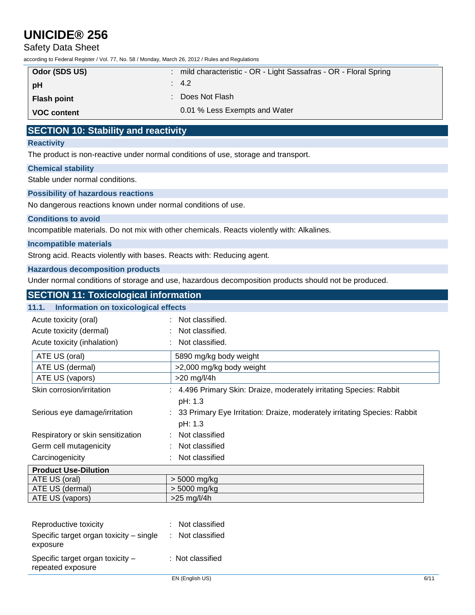### Safety Data Sheet

according to Federal Register / Vol. 77, No. 58 / Monday, March 26, 2012 / Rules and Regulations

| Odor (SDS US)      | : mild characteristic - OR - Light Sassafras - OR - Floral Spring |
|--------------------|-------------------------------------------------------------------|
| ∣ pH               | $\therefore$ 4.2                                                  |
| <b>Flash point</b> | : Does Not Flash                                                  |
| <b>VOC content</b> | 0.01 % Less Exempts and Water                                     |

### **SECTION 10: Stability and reactivity**

#### **Reactivity**

The product is non-reactive under normal conditions of use, storage and transport.

#### **Chemical stability**

Stable under normal conditions.

#### **Possibility of hazardous reactions**

No dangerous reactions known under normal conditions of use.

#### **Conditions to avoid**

Incompatible materials. Do not mix with other chemicals. Reacts violently with: Alkalines.

#### **Incompatible materials**

Strong acid. Reacts violently with bases. Reacts with: Reducing agent.

#### **Hazardous decomposition products**

Under normal conditions of storage and use, hazardous decomposition products should not be produced.

## **SECTION 11: Toxicological information 11.1. Information on toxicological effects** Acute toxicity (oral) The contract of the classified. Acute toxicity (dermal) : Not classified. Acute toxicity (inhalation) : Not classified. ATE US (oral) 5890 mg/kg body weight ATE US (dermal)  $\vert$  >2,000 mg/kg body weight ATE US (vapors)  $\vert$  >20 mg/l/4h Skin corrosion/irritation : 4.496 Primary Skin: Draize, moderately irritating Species: Rabbit pH: 1.3 Serious eye damage/irritation : 33 Primary Eye Irritation: Draize, moderately irritating Species: Rabbit pH: 1.3 Respiratory or skin sensitization : Not classified Germ cell mutagenicity : Not classified Carcinogenicity : Not classified **Product Use-Dilution** ATE US (oral)  $>$  5000 mg/kg ATE US (dermal) > 5000 mg/kg ATE US (vapors)  $\vert$  >25 mg/l/4h

| Specific target organ toxicity -<br>repeated exposure | : Not classified |
|-------------------------------------------------------|------------------|
| Specific target organ toxicity – single<br>exposure   | : Not classified |
| Reproductive toxicity                                 | : Not classified |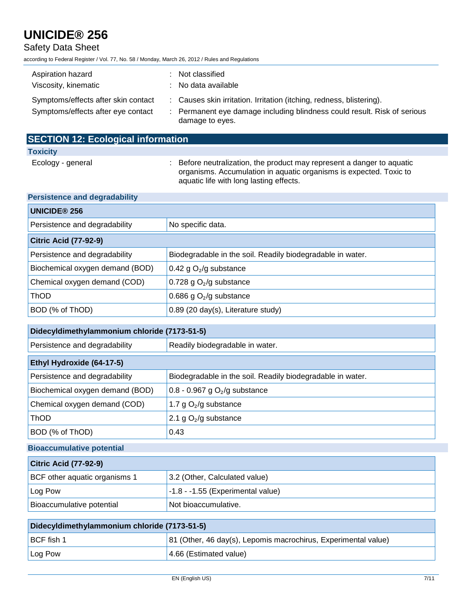## Safety Data Sheet

according to Federal Register / Vol. 77, No. 58 / Monday, March 26, 2012 / Rules and Regulations

| Aspiration hazard<br>Viscosity, kinematic                                 | : Not classified<br>: No data available                                                                                                                             |
|---------------------------------------------------------------------------|---------------------------------------------------------------------------------------------------------------------------------------------------------------------|
| Symptoms/effects after skin contact<br>Symptoms/effects after eye contact | : Causes skin irritation. Irritation (itching, redness, blistering).<br>: Permanent eye damage including blindness could result. Risk of serious<br>damage to eyes. |

| <b>SECTION 12: Ecological information</b> |                                                                                                                                                                                         |
|-------------------------------------------|-----------------------------------------------------------------------------------------------------------------------------------------------------------------------------------------|
| <b>Toxicity</b>                           |                                                                                                                                                                                         |
| Ecology - general                         | : Before neutralization, the product may represent a danger to aquatic<br>organisms. Accumulation in aquatic organisms is expected. Toxic to<br>aquatic life with long lasting effects. |

| <b>UNICIDE® 256</b>             |                                                            |  |
|---------------------------------|------------------------------------------------------------|--|
| Persistence and degradability   | No specific data.                                          |  |
| <b>Citric Acid (77-92-9)</b>    |                                                            |  |
| Persistence and degradability   | Biodegradable in the soil. Readily biodegradable in water. |  |
| Biochemical oxygen demand (BOD) | 0.42 g $O_2$ /g substance                                  |  |
| Chemical oxygen demand (COD)    | 0.728 g $O2/g$ substance                                   |  |
| <b>ThOD</b>                     | 0.686 g $O_2$ /g substance                                 |  |
| BOD (% of ThOD)                 | 0.89 (20 day(s), Literature study)                         |  |

| Didecyldimethylammonium chloride (7173-51-5) |                                                            |  |
|----------------------------------------------|------------------------------------------------------------|--|
| Persistence and degradability                | Readily biodegradable in water.                            |  |
| Ethyl Hydroxide (64-17-5)                    |                                                            |  |
| Persistence and degradability                | Biodegradable in the soil. Readily biodegradable in water. |  |
| Biochemical oxygen demand (BOD)              | $0.8 - 0.967$ g O <sub>2</sub> /g substance                |  |
| Chemical oxygen demand (COD)                 | 1.7 g $O_2$ /g substance                                   |  |
| <b>ThOD</b>                                  | 2.1 g $O_2$ /g substance                                   |  |
| BOD (% of ThOD)                              | 0.43                                                       |  |

### **Bioaccumulative potential**

| <b>Citric Acid (77-92-9)</b>  |                                     |
|-------------------------------|-------------------------------------|
| BCF other aquatic organisms 1 | 3.2 (Other, Calculated value)       |
| Log Pow                       | $-1.8 - -1.55$ (Experimental value) |
| Bioaccumulative potential     | Not bioaccumulative.                |

| Didecyldimethylammonium chloride (7173-51-5) |                                                                |
|----------------------------------------------|----------------------------------------------------------------|
| BCF fish 1                                   | 81 (Other, 46 day(s), Lepomis macrochirus, Experimental value) |
| Log Pow                                      | 4.66 (Estimated value)                                         |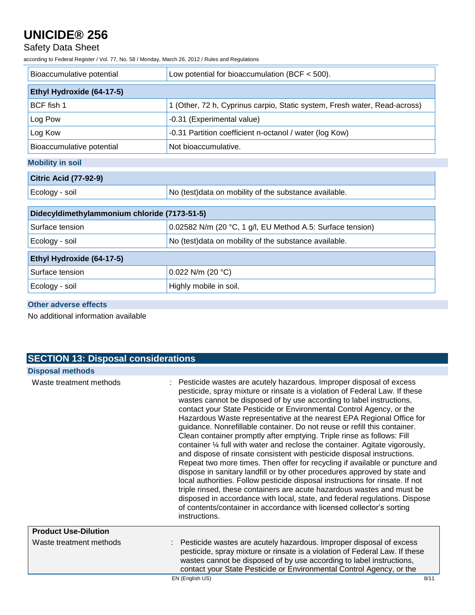## Safety Data Sheet

according to Federal Register / Vol. 77, No. 58 / Monday, March 26, 2012 / Rules and Regulations

| Low potential for bioaccumulation (BCF $<$ 500).                          |  |  |
|---------------------------------------------------------------------------|--|--|
|                                                                           |  |  |
| Ethyl Hydroxide (64-17-5)                                                 |  |  |
| 1 (Other, 72 h, Cyprinus carpio, Static system, Fresh water, Read-across) |  |  |
| -0.31 (Experimental value)                                                |  |  |
| -0.31 Partition coefficient n-octanol / water (log Kow)                   |  |  |
| Not bioaccumulative.                                                      |  |  |
| <b>Mobility in soil</b>                                                   |  |  |
| <b>Citric Acid (77-92-9)</b>                                              |  |  |
| No (test)data on mobility of the substance available.                     |  |  |
| Didecyldimethylammonium chloride (7173-51-5)                              |  |  |
| 0.02582 N/m (20 °C, 1 g/l, EU Method A.5: Surface tension)                |  |  |
| No (test)data on mobility of the substance available.                     |  |  |
| Ethyl Hydroxide (64-17-5)                                                 |  |  |
| 0.022 N/m (20 $°C$ )                                                      |  |  |
| Highly mobile in soil.                                                    |  |  |
|                                                                           |  |  |

### **Other adverse effects**

No additional information available

## **SECTION 13: Disposal considerations Disposal methods**

| Waste treatment methods     | : Pesticide wastes are acutely hazardous. Improper disposal of excess<br>pesticide, spray mixture or rinsate is a violation of Federal Law. If these<br>wastes cannot be disposed of by use according to label instructions,<br>contact your State Pesticide or Environmental Control Agency, or the<br>Hazardous Waste representative at the nearest EPA Regional Office for<br>guidance. Nonrefillable container. Do not reuse or refill this container.<br>Clean container promptly after emptying. Triple rinse as follows: Fill<br>container 1/4 full with water and reclose the container. Agitate vigorously,<br>and dispose of rinsate consistent with pesticide disposal instructions.<br>Repeat two more times. Then offer for recycling if available or puncture and<br>dispose in sanitary landfill or by other procedures approved by state and<br>local authorities. Follow pesticide disposal instructions for rinsate. If not<br>triple rinsed, these containers are acute hazardous wastes and must be<br>disposed in accordance with local, state, and federal regulations. Dispose<br>of contents/container in accordance with licensed collector's sorting<br>instructions. |
|-----------------------------|-------------------------------------------------------------------------------------------------------------------------------------------------------------------------------------------------------------------------------------------------------------------------------------------------------------------------------------------------------------------------------------------------------------------------------------------------------------------------------------------------------------------------------------------------------------------------------------------------------------------------------------------------------------------------------------------------------------------------------------------------------------------------------------------------------------------------------------------------------------------------------------------------------------------------------------------------------------------------------------------------------------------------------------------------------------------------------------------------------------------------------------------------------------------------------------------------|
| <b>Product Use-Dilution</b> |                                                                                                                                                                                                                                                                                                                                                                                                                                                                                                                                                                                                                                                                                                                                                                                                                                                                                                                                                                                                                                                                                                                                                                                                 |
| Waste treatment methods     | Pesticide wastes are acutely hazardous. Improper disposal of excess<br>pesticide, spray mixture or rinsate is a violation of Federal Law. If these<br>wastes cannot be disposed of by use according to label instructions,<br>contact your State Pesticide or Environmental Control Agency, or the                                                                                                                                                                                                                                                                                                                                                                                                                                                                                                                                                                                                                                                                                                                                                                                                                                                                                              |
|                             | EN (English US)<br>8/11                                                                                                                                                                                                                                                                                                                                                                                                                                                                                                                                                                                                                                                                                                                                                                                                                                                                                                                                                                                                                                                                                                                                                                         |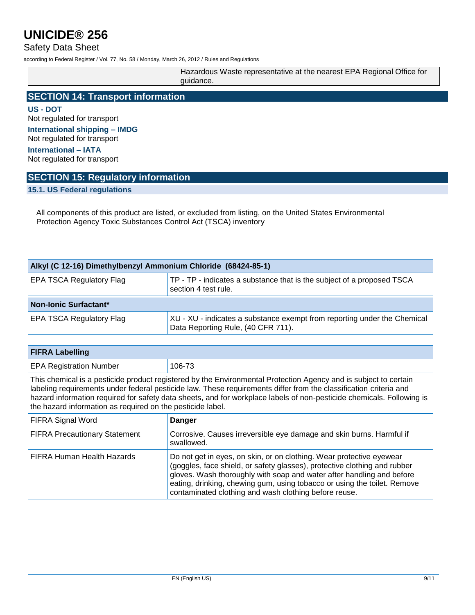### Safety Data Sheet

according to Federal Register / Vol. 77, No. 58 / Monday, March 26, 2012 / Rules and Regulations

| Hazardous Waste representative at the nearest EPA Regional Office for<br>quidance. |
|------------------------------------------------------------------------------------|
|                                                                                    |

## **SECTION 14: Transport information**

**US - DOT** Not regulated for transport **International shipping – IMDG** Not regulated for transport

**International – IATA** Not regulated for transport

### **SECTION 15: Regulatory information**

**15.1. US Federal regulations**

All components of this product are listed, or excluded from listing, on the United States Environmental Protection Agency Toxic Substances Control Act (TSCA) inventory

| Alkyl (C 12-16) Dimethylbenzyl Ammonium Chloride (68424-85-1) |                                                                                                                |  |
|---------------------------------------------------------------|----------------------------------------------------------------------------------------------------------------|--|
| <b>EPA TSCA Regulatory Flag</b>                               | TP - TP - indicates a substance that is the subject of a proposed TSCA<br>section 4 test rule.                 |  |
| Non-Ionic Surfactant*                                         |                                                                                                                |  |
| <b>EPA TSCA Regulatory Flag</b>                               | XU - XU - indicates a substance exempt from reporting under the Chemical<br>Data Reporting Rule, (40 CFR 711). |  |

| <b>FIFRA Labelling</b>                                                                                                                                                                                                                                                                                                                                                                                                       |                                                                                                                                                                                                                                                                                                                                                                 |  |
|------------------------------------------------------------------------------------------------------------------------------------------------------------------------------------------------------------------------------------------------------------------------------------------------------------------------------------------------------------------------------------------------------------------------------|-----------------------------------------------------------------------------------------------------------------------------------------------------------------------------------------------------------------------------------------------------------------------------------------------------------------------------------------------------------------|--|
| <b>EPA Registration Number</b>                                                                                                                                                                                                                                                                                                                                                                                               | 106-73                                                                                                                                                                                                                                                                                                                                                          |  |
| This chemical is a pesticide product registered by the Environmental Protection Agency and is subject to certain<br>labeling requirements under federal pesticide law. These requirements differ from the classification criteria and<br>hazard information required for safety data sheets, and for workplace labels of non-pesticide chemicals. Following is<br>the hazard information as required on the pesticide label. |                                                                                                                                                                                                                                                                                                                                                                 |  |
| <b>FIFRA Signal Word</b>                                                                                                                                                                                                                                                                                                                                                                                                     | <b>Danger</b>                                                                                                                                                                                                                                                                                                                                                   |  |
| <b>FIFRA Precautionary Statement</b>                                                                                                                                                                                                                                                                                                                                                                                         | Corrosive. Causes irreversible eye damage and skin burns. Harmful if<br>swallowed.                                                                                                                                                                                                                                                                              |  |
| <b>FIFRA Human Health Hazards</b>                                                                                                                                                                                                                                                                                                                                                                                            | Do not get in eyes, on skin, or on clothing. Wear protective eyewear<br>(goggles, face shield, or safety glasses), protective clothing and rubber<br>gloves. Wash thoroughly with soap and water after handling and before<br>eating, drinking, chewing gum, using tobacco or using the toilet. Remove<br>contaminated clothing and wash clothing before reuse. |  |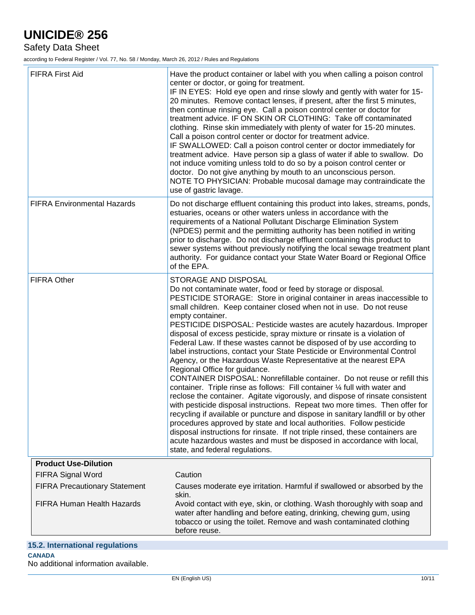Safety Data Sheet

according to Federal Register / Vol. 77, No. 58 / Monday, March 26, 2012 / Rules and Regulations

| <b>FIFRA First Aid</b>                                  | Have the product container or label with you when calling a poison control<br>center or doctor, or going for treatment.<br>IF IN EYES: Hold eye open and rinse slowly and gently with water for 15-<br>20 minutes. Remove contact lenses, if present, after the first 5 minutes,<br>then continue rinsing eye. Call a poison control center or doctor for<br>treatment advice. IF ON SKIN OR CLOTHING: Take off contaminated<br>clothing. Rinse skin immediately with plenty of water for 15-20 minutes.<br>Call a poison control center or doctor for treatment advice.<br>IF SWALLOWED: Call a poison control center or doctor immediately for<br>treatment advice. Have person sip a glass of water if able to swallow. Do<br>not induce vomiting unless told to do so by a poison control center or<br>doctor. Do not give anything by mouth to an unconscious person.<br>NOTE TO PHYSICIAN: Probable mucosal damage may contraindicate the<br>use of gastric lavage.                                                                                                                                                                                                                                                                                                                                                                                     |
|---------------------------------------------------------|---------------------------------------------------------------------------------------------------------------------------------------------------------------------------------------------------------------------------------------------------------------------------------------------------------------------------------------------------------------------------------------------------------------------------------------------------------------------------------------------------------------------------------------------------------------------------------------------------------------------------------------------------------------------------------------------------------------------------------------------------------------------------------------------------------------------------------------------------------------------------------------------------------------------------------------------------------------------------------------------------------------------------------------------------------------------------------------------------------------------------------------------------------------------------------------------------------------------------------------------------------------------------------------------------------------------------------------------------------------|
| <b>FIFRA Environmental Hazards</b>                      | Do not discharge effluent containing this product into lakes, streams, ponds,<br>estuaries, oceans or other waters unless in accordance with the<br>requirements of a National Pollutant Discharge Elimination System<br>(NPDES) permit and the permitting authority has been notified in writing<br>prior to discharge. Do not discharge effluent containing this product to<br>sewer systems without previously notifying the local sewage treatment plant<br>authority. For guidance contact your State Water Board or Regional Office<br>of the EPA.                                                                                                                                                                                                                                                                                                                                                                                                                                                                                                                                                                                                                                                                                                                                                                                                      |
| <b>FIFRA Other</b>                                      | STORAGE AND DISPOSAL<br>Do not contaminate water, food or feed by storage or disposal.<br>PESTICIDE STORAGE: Store in original container in areas inaccessible to<br>small children. Keep container closed when not in use. Do not reuse<br>empty container.<br>PESTICIDE DISPOSAL: Pesticide wastes are acutely hazardous. Improper<br>disposal of excess pesticide, spray mixture or rinsate is a violation of<br>Federal Law. If these wastes cannot be disposed of by use according to<br>label instructions, contact your State Pesticide or Environmental Control<br>Agency, or the Hazardous Waste Representative at the nearest EPA<br>Regional Office for guidance.<br>CONTAINER DISPOSAL: Nonrefillable container. Do not reuse or refill this<br>container. Triple rinse as follows: Fill container 1/4 full with water and<br>reclose the container. Agitate vigorously, and dispose of rinsate consistent<br>with pesticide disposal instructions. Repeat two more times. Then offer for<br>recycling if available or puncture and dispose in sanitary landfill or by other<br>procedures approved by state and local authorities. Follow pesticide<br>disposal instructions for rinsate. If not triple rinsed, these containers are<br>acute hazardous wastes and must be disposed in accordance with local,<br>state, and federal regulations. |
| <b>Product Use-Dilution</b><br><b>FIFRA Signal Word</b> | Caution                                                                                                                                                                                                                                                                                                                                                                                                                                                                                                                                                                                                                                                                                                                                                                                                                                                                                                                                                                                                                                                                                                                                                                                                                                                                                                                                                       |
| <b>FIFRA Precautionary Statement</b>                    | Causes moderate eye irritation. Harmful if swallowed or absorbed by the                                                                                                                                                                                                                                                                                                                                                                                                                                                                                                                                                                                                                                                                                                                                                                                                                                                                                                                                                                                                                                                                                                                                                                                                                                                                                       |
| FIFRA Human Health Hazards                              | skin.<br>Avoid contact with eye, skin, or clothing. Wash thoroughly with soap and<br>water after handling and before eating, drinking, chewing gum, using<br>tobacco or using the toilet. Remove and wash contaminated clothing<br>before reuse.                                                                                                                                                                                                                                                                                                                                                                                                                                                                                                                                                                                                                                                                                                                                                                                                                                                                                                                                                                                                                                                                                                              |
| 15.2. International regulations                         |                                                                                                                                                                                                                                                                                                                                                                                                                                                                                                                                                                                                                                                                                                                                                                                                                                                                                                                                                                                                                                                                                                                                                                                                                                                                                                                                                               |
| <b>CANADA</b>                                           |                                                                                                                                                                                                                                                                                                                                                                                                                                                                                                                                                                                                                                                                                                                                                                                                                                                                                                                                                                                                                                                                                                                                                                                                                                                                                                                                                               |

### No additional information available.